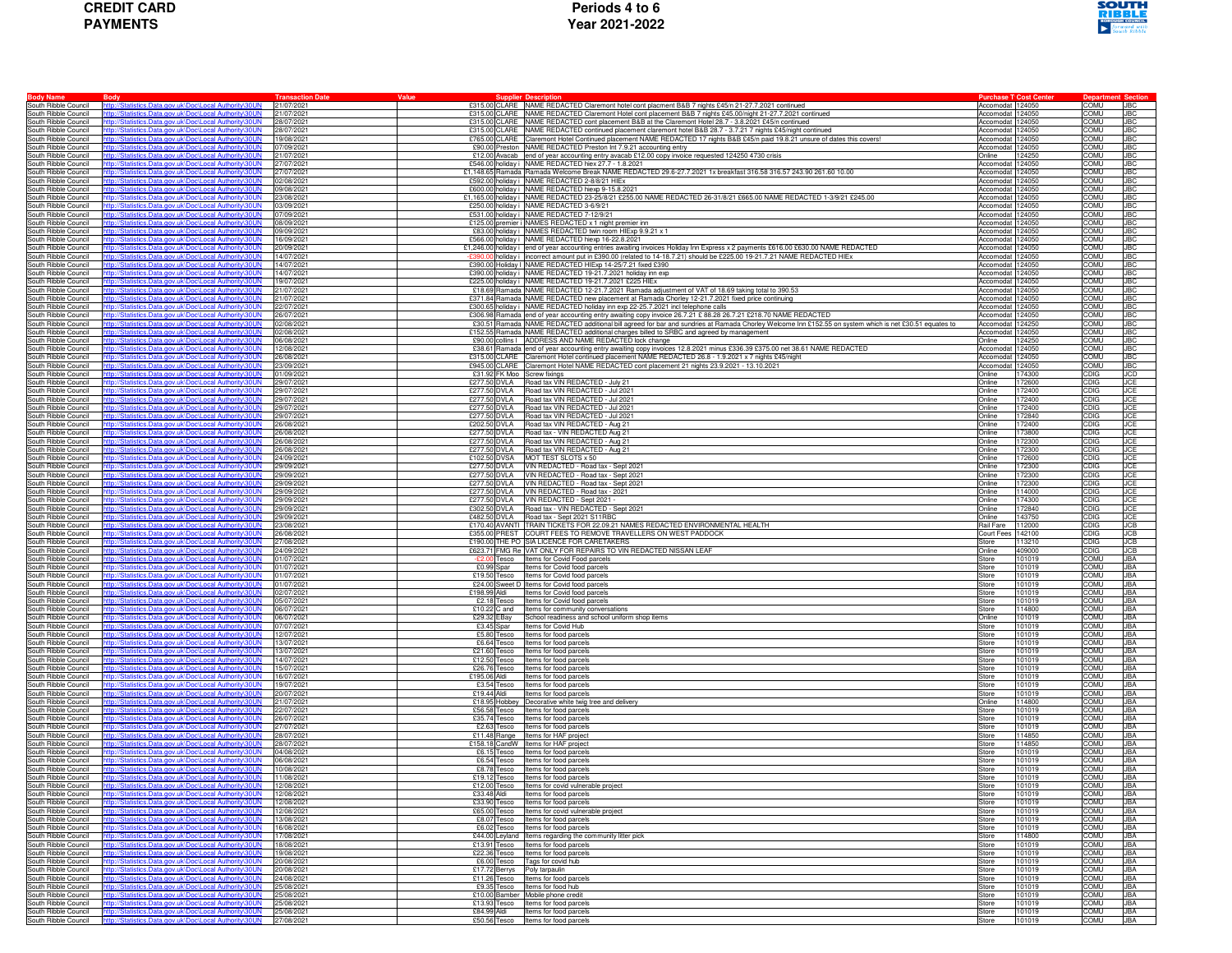| <b>CREDIT CARD</b> |
|--------------------|
| <b>PAYMENTS</b>    |



| <b>Body Name</b><br>South Ribble Council            | <b>Body</b><br>http://Statistics.Data.gov.uk\Doc\Local Authority\30UN                                          | <b>Transaction Date</b><br>21/07/2021 | Value                        | £315.00 CLARE NAME REDACTED Claremont hotel cont placment B&B 7 nights £45/n 21-27.7.2021 continued                                                                                 | <b>Purchase T</b> <sup>1</sup> Cost Cente<br>Accomodat 124050 |                  | COMU                |                          |
|-----------------------------------------------------|----------------------------------------------------------------------------------------------------------------|---------------------------------------|------------------------------|-------------------------------------------------------------------------------------------------------------------------------------------------------------------------------------|---------------------------------------------------------------|------------------|---------------------|--------------------------|
| South Ribble Council                                | tics.Data.gov.uk\Doc\Local Authority\3                                                                         | 21/07/2021                            |                              | £315.00 CLARE NAME REDACTED Claremont Hotel cont placement B&B 7 nights £45.00/night 21-27.7.2021 continued                                                                         | Accomodat 124050                                              |                  | COMU                | <b>JBC</b><br><b>JBC</b> |
| South Ribble Council                                | ttp://Statistics.Data.gov.uk\Doc\Local Authority\30UN                                                          | 28/07/2021                            |                              | £315.00 CLARE NAME REDACTED cont placement B&B at the Claremont Hotel 28.7 - 3.8.2021 £45/n continued                                                                               | Accomodat 124050                                              |                  | COMU                | <b>JBC</b>               |
| South Ribble Council                                | http://Statistics.Data.gov.uk\Doc\Local Authority\30UN                                                         | 28/07/2021                            |                              | £315.00 CLARE NAME REDACTED continued placement claremont hotel B&B 28.7 - 3.7.21 7 nights £45/night continued                                                                      | Accomodat 124050                                              |                  | COMU                | <b>JBC</b>               |
| South Ribble Council                                | http://Statistics.Data.gov.uk\Doc\Local Authority\30UN                                                         | 19/08/2021                            |                              | £765.00 CLARE Claremont Hotel Continued placement NAME REDACTED 17 nights B&B £45/n paid 19.8.21 unsure of dates this covers!                                                       | Accomodat 124050                                              |                  | COMU                | <b>JBC</b>               |
| South Ribble Council                                | b://Statistics.Data.gov.uk\Doc\Local Authority\30UN                                                            | 07/09/2021                            |                              | £90.00 Preston NAME REDACTED Preston Int 7.9.21 accounting entry                                                                                                                    | Accomodat 124050                                              |                  | COMU                | <b>JBC</b>               |
| South Ribble Council                                | <u>tics.Data.gov.uk\Doc\Local Authority\30UN</u>                                                               | 21/07/202                             |                              | £12.00 Avacab end of year accounting entry avacab £12.00 copy invoice requested 124250 4730 crisis                                                                                  | Online                                                        | 124250           | COMU                | <b>JBC</b>               |
| South Ribble Council                                | http://Statistics.Data.gov.uk\Doc\Local Authority\30UN                                                         | 27/07/2021                            |                              | £546.00 holiday i NAME REDACTED hiex 27.7 - 1.8.2021                                                                                                                                | Accomodat 124050                                              |                  | <b>COMU</b>         | <b>JBC</b>               |
| South Ribble Council                                | th://Statistics Data novuk\Doc\Local Authority\30LI                                                            | 27/07/2021                            |                              | £1,148.65 Ramada Ramada Welcome Break NAME REDACTED 29.6-27.7.2021 1x breakfast 316.58 316.57 243.90 261.60 10.00                                                                   | Accomodat 124050                                              |                  | COMU                | <b>JBC</b>               |
| South Ribble Council                                | ttp://Statistics.Data.gov.uk\Doc\Local Authority\30UN                                                          | 02/08/2021                            |                              | £592.00 holiday i NAME REDACTED 2-8/8/21 HIEx                                                                                                                                       | Accomodat 124050                                              |                  | COMU                | <b>JBC</b>               |
| South Ribble Council                                | o://Statistics.Data.gov.uk\Doc\Local Authority\30UN                                                            | 09/08/2021                            |                              | £600.00 holiday i NAME REDACTED hiexp 9-15.8.2021                                                                                                                                   | Accomodat 124050                                              |                  | COMU                | <b>JBC</b>               |
| South Ribble Council                                | stics.Data.gov.uk\Doc\Local Authority\3                                                                        | 23/08/2021                            |                              | £1,165.00 holiday i NAME REDACTED 23-25/8/21 £255.00 NAME REDACTED 26-31/8/21 £665.00 NAME REDACTED 1-3/9/21 £245.00                                                                | Accomodat 124050                                              |                  | <b>COMU</b>         | <b>JBC</b>               |
| South Ribble Council                                | ttp://Statistics.Data.gov.uk\Doc\Local Authority\30UN                                                          | 03/09/2021                            |                              | £250.00 holiday i NAME REDACTED 3-6/9/21                                                                                                                                            | Accomodat 124050                                              |                  | COMU                | <b>JBC</b>               |
| South Ribble Council                                | In://Statistics.Data.gov.uk\Doc\Local Authority\30UN                                                           | 07/09/2021                            |                              | £531.00 holiday i NAME REDACTED 7-12/9/21                                                                                                                                           | Accomodat 124050                                              |                  | COMU                | <b>JBC</b>               |
| South Ribble Council                                | ttp://Statistics.Data.gov.uk\Doc\Local Authority\30UN                                                          | 08/09/2021<br>09/09/2021              |                              | £125.00 premier i NAMES REDACTED x 1 night premier inn                                                                                                                              | Accomodat 124050                                              |                  | COMU                | <b>JBC</b>               |
| South Ribble Council<br>South Ribble Council        | Statistics.Data.gov.uk\Doc\Local Authority\30UN<br>tics.Data.gov.uk\Doc\Local Authority\3                      | 16/09/202                             |                              | £83.00 holiday i NAMES REDACTED twin room HIExp 9.9.21 x 1<br>£566.00 holiday i NAME REDACTED hiexp 16-22.8.2021                                                                    | Accomodat 124050<br>Accomodat 124050                          |                  | COMU<br>COMU        | <b>JBC</b><br><b>JBC</b> |
| South Ribble Council                                | p://Statistics.Data.gov.uk\Doc\Local Authority\                                                                | 20/09/202                             |                              | £1,246.00 holiday i end of year accounting entries awaiting invoices Holiday Inn Express x 2 payments £616.00 £630.00 NAME REDACTED                                                 | Accomodat 124050                                              |                  | <b>COMU</b>         | <b>JBC</b>               |
| South Ribble Council                                | In://Statistics Data nov uk\Doc\Local Authority\30L                                                            | 14/07/2021                            |                              | £390.00 holiday i incorrect amount put in £390.00 (related to 14-18.7.21) should be £225.00 19-21.7.21 NAME REDACTED HIEx                                                           | Accomodat 124050                                              |                  | COMU                | <b>JBC</b>               |
| South Ribble Council                                | ttp://Statistics.Data.gov.uk\Doc\Local Authority\30UN                                                          | 14/07/2021                            |                              | £390.00 Holiday I NAME REDACTED HIExp 14-25/7.21 fixed £390                                                                                                                         | Accomodat 124050                                              |                  | COMU                | <b>JBC</b>               |
| South Ribble Council                                | b://Statistics.Data.gov.uk\Doc\Local Authority\30UN                                                            | 14/07/2021                            |                              | £390.00 holiday i NAME REDACTED 19-21.7.2021 holiday inn exp                                                                                                                        | Accomodat 124050                                              |                  | COMU                | <b>JBC</b>               |
| South Ribble Council                                | <u>tics.Data.gov.uk\Doc\Local Authority\30UN</u>                                                               | 19/07/202                             |                              | £225.00 holiday i NAME REDACTED 19-21.7.2021 £225 HIEx                                                                                                                              | Accomodat 124050                                              |                  | COMU                | <b>JBC</b>               |
| South Ribble Council                                | http://Statistics.Data.gov.uk\Doc\Local Authority\30UN                                                         | 21/07/2021                            |                              | £18.69 Ramada NAME REDACTED 12-21.7.2021 Ramada adjustment of VAT of 18.69 taking total to 390.53                                                                                   | Accomodat 124050                                              |                  | <b>COMU</b>         | <b>JBC</b>               |
| South Ribble Council                                | the //Statistics Data nov uk\Doc\Local Authority\30LIN                                                         | 21/07/2021                            |                              | £371.84 Ramada NAME REDACTED new placement at Ramada Chorley 12-21.7.2021 fixed price continuing                                                                                    | Accomodat 124050                                              |                  | COMU                | <b>JBC</b>               |
| South Ribble Council                                | http://Statistics.Data.gov.uk\Doc\Local Authority\30UN                                                         | 22/07/2021                            |                              | £300.65 holiday i NAME REDACTED holiday inn exp 22-25.7.2021 incl telephone calls                                                                                                   | Accomodat 124050                                              |                  | COMU                | <b>JBC</b>               |
| South Ribble Council                                | ://Statistics.Data.gov.uk\Doc\Local Authority\30UN                                                             | 26/07/2021                            |                              | £306.98 Ramada end of year accounting entry awaiting copy invoice 26.7.21 £ 88.28 26.7.21 £218.70 NAME REDACTED                                                                     | Accomodat 124050                                              |                  | COMU                | <b>JBC</b>               |
| South Ribble Council                                | tics.Data.gov.uk\Doc\Local Authority\30L                                                                       | 02/08/202                             |                              | £30.51 Ramada NAME REDACTED additional bill agreed for bar and sundries at Ramada Chorley Welcome Inn £152.55 on system which is net £30.51 equates to                              | Accomodat 124250                                              |                  | COMU                | <b>JBC</b>               |
| South Ribble Council                                | http://Statistics.Data.gov.uk\Doc\Local Authority\30UN<br>in://Statistics.Data.gov.uk\Doc\Local Authority\30UN | 02/08/2021                            |                              | £152.55 Ramada NAME REDACTED additional charges billed to SRBC and agreed by management                                                                                             | Accomodat 124050                                              |                  | <b>COMU</b>         | <b>JBC</b>               |
| South Ribble Council                                |                                                                                                                | 06/08/2021                            |                              | £90.00 collins   ADDRESS AND NAME REDACTED lock change<br>£38.61 Ramada end of year accounting entry awaiting copy invoices 12.8.2021 minus £336.39 £375.00 net 38.61 NAME REDACTED | Online                                                        | 124250           | COMU                | <b>JBC</b>               |
| South Ribble Council<br>South Ribble Council        | ttp://Statistics.Data.gov.uk\Doc\Local Authority\30UN<br>//Statistics.Data.gov.uk\Doc\Local Authority\30UN     | 12/08/2021<br>26/08/2021              |                              | £315.00 CLARE Claremont Hotel continued placement NAME REDACTED 26.8 - 1.9.2021 x 7 nights £45/night                                                                                | Accomodat 124050<br>Accomodat 124050                          |                  | COMU<br><b>COMU</b> | <b>JBC</b><br><b>JBC</b> |
| South Ribble Council                                | tics.Data.gov.uk\Doc\Local Authority\3                                                                         | 23/09/2021                            |                              | £945.00 CLARE Claremont Hotel NAME REDACTED cont placement 21 nights 23.9.2021 - 13.10.2021                                                                                         | Accomodat                                                     | 124050           | <b>COMU</b>         | <b>JBC</b>               |
| South Ribble Council                                | tp://Statistics.Data.gov.uk\Doc\Local Authority\30UN                                                           | 01/09/2021                            | £31.92 FK Moo Screw fixings  |                                                                                                                                                                                     | Online                                                        | 174300           | CDIG                | <b>JCD</b>               |
| South Ribble Council                                | to://Statistics.Data.gov.uk\Doc\Local Authority\30UN                                                           | 29/07/2021                            |                              | £277.50 DVLA Road tax VIN REDACTED - July 21                                                                                                                                        | Online                                                        | 172600           | CDIG                | <b>JCE</b>               |
| South Ribble Council                                | ttp://Statistics.Data.gov.uk\Doc\Local Authority\30UN                                                          | 29/07/2021                            |                              | £277.50 DVLA Road tax VIN REDACTED - Jul 2021                                                                                                                                       | Online                                                        | 172400           | <b>CDIG</b>         | <b>JCE</b>               |
| South Ribble Council                                | ://Statistics.Data.gov.uk\Doc\Local Authority\30UN                                                             | 29/07/2021                            |                              | £277.50 DVLA Road tax VIN REDACTED - Jul 2021                                                                                                                                       | Online                                                        | 172400           | <b>CDIG</b>         | <b>JCE</b>               |
| South Ribble Council                                | <u>tics.Data.gov.uk\Doc\Local Authority\30UN</u>                                                               | 29/07/202                             |                              | £277.50 DVLA Road tax VIN REDACTED - Jul 2021                                                                                                                                       | Online                                                        | 172400           | CDIG                | <b>JCE</b>               |
| South Ribble Council                                | tp://Statistics.Data.gov.uk\Doc\Local Authority\:                                                              | 29/07/2021                            |                              | £277.50 DVLA Road tax VIN REDACTED - Jul 2021                                                                                                                                       | Online                                                        | 172840           | CDIG                | <b>JCE</b>               |
| South Ribble Council                                | th://Statistics Data gov.uk\Doc\Local Authority\30L                                                            | 26/08/2021                            |                              | £202.50 DVLA Road tax VIN REDACTED - Aug 21                                                                                                                                         | Online                                                        | 172400           | CDIG                | <b>JCE</b>               |
| South Ribble Council                                | ttp://Statistics.Data.gov.uk\Doc\Local Authority\30UN                                                          | 26/08/2021                            |                              | £277.50 DVLA Road tax - VIN REDACTED Aug 21                                                                                                                                         | Online                                                        | 173800           | <b>CDIG</b>         | <b>JCE</b>               |
| South Ribble Council<br>South Ribble Council        | b://Statistics.Data.gov.uk\Doc\Local Authority\30UN                                                            | 26/08/2021<br>26/08/202               | £277.50 DVLA                 | £277.50 DVLA Road tax VIN REDACTED - Aug 21<br>Road tax VIN REDACTED - Aug 21                                                                                                       | Online<br>Online                                              | 172300<br>172300 | CDIG<br>CDIG        | JCE<br><b>JCE</b>        |
| South Ribble Council                                | <u>tics.Data.gov.uk\Doc\Local Authority\30l</u><br>http://Statistics.Data.gov.uk\Doc\Local Authority\30UN      | 24/09/2021                            |                              | £102.50 DVSA MOT TEST SLOTS x 50                                                                                                                                                    | Online                                                        | 172600           | CDIG                | <b>JCE</b>               |
| South Ribble Council                                | ttp://Statistics.Data.gov.uk\Doc\Local Authority\30UN                                                          | 29/09/2021                            |                              | £277.50 DVLA VIN REDACTED - Road tax - Sept 2021                                                                                                                                    | Online                                                        | 172300           | CDIG                | <b>JCE</b>               |
| South Ribble Council                                | http://Statistics.Data.gov.uk\Doc\Local Authority\30UN                                                         | 29/09/2021                            |                              | £277.50 DVLA   VIN REDACTED - Road tax - Sept 2021                                                                                                                                  | Online                                                        | 172300           | <b>CDIG</b>         | <b>JCE</b>               |
| South Ribble Council                                | ://Statistics.Data.gov.uk\Doc\Local Authority\30UN                                                             | 29/09/2021                            |                              | £277.50 DVLA VIN REDACTED - Road tax - Sept 2021                                                                                                                                    | Online                                                        | 172300           | CDIG                | <b>JCE</b>               |
| South Ribble Council                                | tics.Data.gov.uk\Doc\Local Authority\30UN                                                                      | 29/09/202                             |                              | £277.50 DVLA VIN REDACTED - Road tax - 2021                                                                                                                                         | Online                                                        | 114000           | CDIG                | <b>JCE</b>               |
| South Ribble Council                                | ttp://Statistics.Data.gov.uk\Doc\Local Authority\30UN                                                          | 29/09/2021                            |                              | £277.50 DVLA VIN REDACTED - Sept 2021 -                                                                                                                                             | Online                                                        | 174300           | CDIG                | <b>JCE</b>               |
| South Ribble Council                                | In://Statistics.Data.gov.uk\Doc\Local Authority\30UN                                                           | 29/09/2021                            |                              | £302.50 DVLA Road tax - VIN REDACTED - Sept 2021                                                                                                                                    | Online                                                        | 172840           | CDIG                | <b>JCE</b>               |
| South Ribble Council                                | tp://Statistics.Data.gov.uk\Doc\Local Authority\30UN<br>Statistics.Data.gov.uk\Doc\Local Authority\30UN        | 29/09/2021<br>23/08/2021              |                              | £482.50 DVLA Road tax - Sept 2021 S11RBC<br>£170.40 AVANTI TRAIN TICKETS FOR 22.09.21 NAMES REDACTED ENVIRONMENTAL HEALTH                                                           | Online<br><b>Rail Fare</b>                                    | 143750<br>112000 | CDIG                | <b>JCE</b><br><b>JCB</b> |
| South Ribble Council<br>South Ribble Council        | tics.Data.gov.uk\Doc\Local Authority\30                                                                        | 26/08/202                             |                              | £355.00 PREST COURT FEES TO REMOVE TRAVELLERS ON WEST PADDOCK                                                                                                                       | Court Fees                                                    | 142100           | <b>CDIG</b><br>CDIG | <b>JCB</b>               |
| South Ribble Council                                | p://Statistics.Data.gov.uk\Doc\Local Authority\30UN                                                            | 27/08/2021                            |                              | £190.00 THE PO SIA LICENCE FOR CARETAKERS                                                                                                                                           | Store                                                         | 113210           | CDIG                | <b>JCB</b>               |
| South Ribble Council                                | tp://Statistics.Data.gov.uk\Doc\Local Authority\30UN                                                           | 24/09/2021                            |                              | £623.71 FMG Re VAT ONLY FOR REPAIRS TO VIN REDACTED NISSAN LEAF                                                                                                                     | Online                                                        | 409000           | CDIG                | <b>JCB</b>               |
| South Ribble Council                                | ttp://Statistics.Data.gov.uk\Doc\Local Authority\30UN                                                          | 01/07/2021                            |                              | -£2.00 Tesco Items for Covid Food parcels                                                                                                                                           | Store                                                         | 101019           | COMU                | <b>JBA</b>               |
| South Ribble Council                                | b://Statistics.Data.gov.uk\Doc\Local Authority\30UN                                                            | 01/07/2021                            |                              | £0.99 Spar Items for Covid food parcels                                                                                                                                             | Store                                                         | 101019           | COMU                | <b>JBA</b>               |
| South Ribble Council                                | <u>tics.Data.gov.uk\Doc\Local Authority\30l</u>                                                                | 01/07/202                             | £19.50 Tesco                 | Items for Covid food parcels                                                                                                                                                        | Store                                                         | 101019           | COMU                | <b>JBA</b>               |
| South Ribble Council                                | ttp://Statistics.Data.gov.uk\Doc\Local Authority\30UN                                                          | 01/07/202                             |                              | £24.00 Sweet D Items for Covid food parcels                                                                                                                                         | Store                                                         | 101019           | <b>COMU</b>         | <b>JBA</b>               |
| South Ribble Council                                | ttp://Statistics.Data.gov.uk\Doc\Local Authority\30U                                                           | 02/07/2021                            |                              | £198.99 Aldi Items for Covid food parcels                                                                                                                                           | Store                                                         | 101019           | COMU                | <b>JBA</b>               |
| South Ribble Council                                | ttp://Statistics.Data.gov.uk\Doc\Local Authority\30UN                                                          | 05/07/2021                            |                              | £2.18 Tesco Items for Covid food parcels                                                                                                                                            | Store                                                         | 101019           | COMU                | <b>JBA</b>               |
| South Ribble Council                                | b://Statistics.Data.gov.uk\Doc\Local Authority\30UN                                                            | 06/07/2021                            |                              | £10.22 C and Items for community conversations                                                                                                                                      | Store                                                         | 114800           | COMU                | <b>JBA</b>               |
| South Ribble Council<br>South Ribble Council        | tics.Data.gov.uk\Doc\Local Authority\30<br>http://Statistics.Data.gov.uk\Doc\Local Authority\30UN              | 06/07/2021<br>07/07/2021              | £29.32 EBay                  | School readiness and school uniform shop items<br>Items for Covid Hub                                                                                                               | Online<br>Store                                               | 101019<br>101019 | <b>COMU</b><br>COMU | <b>JBA</b><br><b>JBA</b> |
| South Ribble Council                                | to://Statistics.Data.gov.uk\Doc\Local Authority\30UN                                                           | 12/07/2021                            | £3.45 Spar                   | £5.80 Tesco Items for food parcels                                                                                                                                                  | Store                                                         | 101019           | COMU                | <b>JBA</b>               |
| South Ribble Council                                | ttp://Statistics.Data.gov.uk\Doc\Local Authority\30UN                                                          | 13/07/2021                            |                              | £6.64 Tesco Items for food parcels                                                                                                                                                  | Store                                                         | 101019           | COMU                | <b>JBA</b>               |
| South Ribble Council                                | Statistics.Data.gov.uk\Doc\Local Authority\30UN                                                                | 13/07/2021                            |                              | £21.60 Tesco Items for food parcels                                                                                                                                                 | Store                                                         | 101019           | COMU                | <b>JBA</b>               |
| South Ribble Council                                | tics.Data.gov.uk\Doc\Local Authority\30                                                                        | 14/07/2021                            | £12.50 Tesco                 | Items for food parcels                                                                                                                                                              | Store                                                         | 101019           | <b>COMU</b>         | <b>JBA</b>               |
| South Ribble Council                                | tp://Statistics.Data.gov.uk\Doc\Local Authority\                                                               | 15/07/2021                            |                              | £26.76 Tesco Items for food parcels                                                                                                                                                 | Store                                                         | 101019           | COMU                | <b>JBA</b>               |
| South Ribble Council                                | n://Statistics.Data.gov.uk\Doc\Local Authority\30UN                                                            | 16/07/2021                            |                              | £195.06 Aldi Items for food parcels                                                                                                                                                 | Store                                                         | 101019           | COMU                | <b>JBA</b>               |
| South Ribble Council                                | tp://Statistics.Data.gov.uk\Doc\Local Authority\30UN                                                           | 19/07/2021                            |                              | £3.54 Tesco Items for food parcels                                                                                                                                                  | Store                                                         | 101019           | COMU                | <b>JBA</b>               |
| South Ribble Council                                | //Statistics.Data.gov.uk\Doc\Local Authority\30UN                                                              | 20/07/2021<br>21/07/202               |                              | £19.44 Aldi Items for food parcels                                                                                                                                                  | Store                                                         | 101019           | COMU                | <b>JBA</b>               |
| South Ribble Council<br>South Ribble Council        | tics.Data.gov.uk\Doc\Local Authority\30UN<br>b://Statistics.Data.gov.uk\Doc\Local Authority\30UN               | 22/07/2021                            |                              | £18.95 Hobbey Decorative white twig tree and delivery<br>£56.58 Tesco Items for food parcels                                                                                        | Online<br>Store                                               | 114800<br>101019 | COMU<br><b>COMU</b> | <b>JBA</b><br><b>JBA</b> |
| South Ribble Council                                | to://Statistics.Data.gov.uk\Doc\Local.Authority\30UN                                                           | 26/07/2021                            |                              | £35.74 Tesco Items for food parcels                                                                                                                                                 | Store                                                         | 101019           | COMU                | <b>JBA</b>               |
| South Ribble Council                                | http://Statistics.Data.gov.uk\Doc\Local Authority\30UN                                                         | 27/07/2021                            |                              | £2.63 Tesco Items for food parcels                                                                                                                                                  | Store                                                         | 101019           | COMU                | <b>JBA</b>               |
| South Ribble Council                                | http://Statistics.Data.gov.uk\Doc\Local Authority\30UN                                                         | 28/07/2021                            |                              | £11.48 Range Items for HAF project                                                                                                                                                  | Store                                                         | 114850           | COMU                | <b>JBA</b>               |
| South Ribble Council                                | <u>tics.Data.gov.uk\Doc\Local Authority\30l</u>                                                                | 28/07/202                             |                              | £158.18 CandW Items for HAF project                                                                                                                                                 | Store                                                         | 114850           | COMU                | <b>JBA</b>               |
| South Ribble Council                                | http://Statistics.Data.gov.uk\Doc\Local Authority\30UN                                                         | 04/08/202                             |                              | £6.15 Tesco Items for food parcels                                                                                                                                                  | Store                                                         | 101019           | <b>COMU</b>         | <b>JBA</b>               |
| South Ribble Council                                | ttn://Statistics Data gov.uk\Doc\Local Authority\30LIN                                                         | 06/08/2021                            |                              | £6.54 Tesco Items for food parcels                                                                                                                                                  | Store                                                         | 101019           | COMU                | <b>JBA</b>               |
| South Ribble Council                                | http://Statistics.Data.gov.uk\Doc\Local Authority\30UN                                                         | 10/08/2021                            |                              | £8.78 Tesco Items for food parcels                                                                                                                                                  | Store                                                         | 101019           | COMU                | <b>JBA</b>               |
| South Ribble Council                                | tp://Statistics.Data.gov.uk\Doc\Local Authority\30UN                                                           | 11/08/2021                            |                              | £19.12 Tesco Items for food parcels                                                                                                                                                 | Store                                                         | 101019           | COMU                | <b>JBA</b>               |
| <b>SOUTH HIDDIE COUNCIL</b><br>South Ribble Council | http://Statistics.Data.gov.uk\Doc\Local Authority\30UN                                                         | 2/08/202<br>12/08/2021                | £12.00 Tesco                 | £12.00 Tesco Items for covid vulnerable project<br>£33.48 Aldi Items for food parcels                                                                                               | store<br>Store                                                | 101019           | COMU                | <b>I.IRA</b>             |
| South Ribble Council                                | http://Statistics.Data.gov.uk\Doc\Local Authority\30UN                                                         | 12/08/2021                            |                              | £33.90 Tesco Items for food parcels                                                                                                                                                 | Store                                                         | 101019           | COMU                | <b>JBA</b>               |
| South Ribble Council                                | http://Statistics.Data.gov.uk\Doc\Local Authority\30UN                                                         | 12/08/2021                            |                              | £65.00 Tesco Items for covid vulnerable project                                                                                                                                     | Store                                                         | 101019           | <b>COMU</b>         | <b>JBA</b>               |
| South Ribble Council                                | tp://Statistics.Data.gov.uk\Doc\Local Authority\30UN                                                           | 13/08/2021                            |                              | £8.07 Tesco Items for food parcels                                                                                                                                                  | Store                                                         | 101019           | <b>COMU</b>         | <b>JBA</b>               |
| South Ribble Council                                | ttp://Statistics.Data.gov.uk\Doc\Local Authority\30UN                                                          | 16/08/2021                            |                              | £6.02 Tesco Items for food parcels                                                                                                                                                  | Store                                                         | 101019           | COMU                | <b>JBA</b>               |
| South Ribble Council                                | http://Statistics.Data.gov.uk\Doc\Local Authority\30UN                                                         | 17/08/2021                            |                              | £44.00 Leyland Items regarding the community litter pick                                                                                                                            | Store                                                         | 114800           | COMU                | <b>JBA</b>               |
| South Ribble Council                                | http://Statistics.Data.gov.uk\Doc\Local Authority\30UN                                                         | 18/08/2021                            |                              | £13.91 Tesco Items for food parcels                                                                                                                                                 | Store                                                         | 101019           | COMU                | <b>JBA</b>               |
| South Ribble Council                                | http://Statistics.Data.gov.uk\Doc\Local Authority\30UN                                                         | 19/08/2021                            |                              | £22.36 Tesco Items for food parcels                                                                                                                                                 | Store                                                         | 101019           | COMU                | <b>JBA</b>               |
| South Ribble Council                                | tp://Statistics.Data.gov.uk\Doc\Local Authority\30UN                                                           | 20/08/2021<br>20/08/2021              |                              | £6.00 Tesco Tags for covid hub                                                                                                                                                      | Store                                                         | 101019<br>101019 | <b>COMU</b><br>COMU | <b>JBA</b><br><b>JBA</b> |
| South Ribble Council<br>South Ribble Council        | stics.Data.gov.uk\Doc\Local Authority\30UN<br>http://Statistics.Data.gov.uk\Doc\Local Authority\30UN           | 24/08/2021                            | £17.72 Berrys Poly tarpaulin | £11.26 Tesco Items for food parcels                                                                                                                                                 | Store<br>Store                                                | 101019           | <b>COMU</b>         | <b>JBA</b>               |
| South Ribble Council                                | http://Statistics.Data.gov.uk\Doc\Local Authority\30UN                                                         | 25/08/2021                            |                              | £9.35 Tesco Items for food hub                                                                                                                                                      | Store                                                         | 101019           | COMU                | <b>JBA</b>               |
| South Ribble Council                                | http://Statistics.Data.gov.uk\Doc\Local Authority\30UN                                                         | 25/08/2021                            |                              | £10.00 Bamber Mobile phone credit                                                                                                                                                   | Store                                                         | 101019           | COMU                | <b>JBA</b>               |
| South Ribble Council                                | b://Statistics.Data.gov.uk\Doc\Local Authority\30UN                                                            | 25/08/2021                            |                              | £13.93 Tesco Items for food parcels                                                                                                                                                 | Store                                                         | 101019           | COMU                | <b>JBA</b>               |
| South Ribble Council                                | istics.Data.gov.uk\Doc\Local Authority\30UN                                                                    | 25/08/2021                            | £84.99 Aldi                  | Items for food parcels                                                                                                                                                              | Store                                                         | 101019           | COMU                | <b>JBA</b>               |
| South Ribble Council                                | http://Statistics.Data.gov.uk\Doc\Local Authority\30UN 27/08/2021                                              |                                       |                              | £50.56 Tesco Items for food parcels                                                                                                                                                 | Store                                                         | 101019           | <b>COMU</b>         | <b>JBA</b>               |